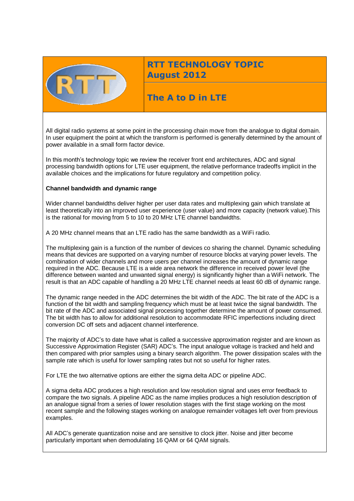

# **RTT TECHNOLOGY TOPIC August 2012**

# **The A to D in LTE**

All digital radio systems at some point in the processing chain move from the analogue to digital domain. In user equipment the point at which the transform is performed is generally determined by the amount of power available in a small form factor device.

In this month's technology topic we review the receiver front end architectures, ADC and signal processing bandwidth options for LTE user equipment, the relative performance tradeoffs implicit in the available choices and the implications for future regulatory and competition policy.

#### **Channel bandwidth and dynamic range**

Wider channel bandwidths deliver higher per user data rates and multiplexing gain which translate at least theoretically into an improved user experience (user value) and more capacity (network value).This is the rational for moving from 5 to 10 to 20 MHz LTE channel bandwidths.

A 20 MHz channel means that an LTE radio has the same bandwidth as a WiFi radio.

The multiplexing gain is a function of the number of devices co sharing the channel. Dynamic scheduling means that devices are supported on a varying number of resource blocks at varying power levels. The combination of wider channels and more users per channel increases the amount of dynamic range required in the ADC. Because LTE is a wide area network the difference in received power level (the difference between wanted and unwanted signal energy) is significantly higher than a WiFi network. The result is that an ADC capable of handling a 20 MHz LTE channel needs at least 60 dB of dynamic range.

The dynamic range needed in the ADC determines the bit width of the ADC. The bit rate of the ADC is a function of the bit width and sampling frequency which must be at least twice the signal bandwidth. The bit rate of the ADC and associated signal processing together determine the amount of power consumed. The bit width has to allow for additional resolution to accommodate RFIC imperfections including direct conversion DC off sets and adjacent channel interference.

The majority of ADC's to date have what is called a successive approximation register and are known as Successive Approximation Register (SAR) ADC's. The input analogue voltage is tracked and held and then compared with prior samples using a binary search algorithm. The power dissipation scales with the sample rate which is useful for lower sampling rates but not so useful for higher rates.

For LTE the two alternative options are either the sigma delta ADC or pipeline ADC.

A sigma delta ADC produces a high resolution and low resolution signal and uses error feedback to compare the two signals. A pipeline ADC as the name implies produces a high resolution description of an analogue signal from a series of lower resolution stages with the first stage working on the most recent sample and the following stages working on analogue remainder voltages left over from previous examples.

All ADC's generate quantization noise and are sensitive to clock jitter. Noise and jitter become particularly important when demodulating 16 QAM or 64 QAM signals.